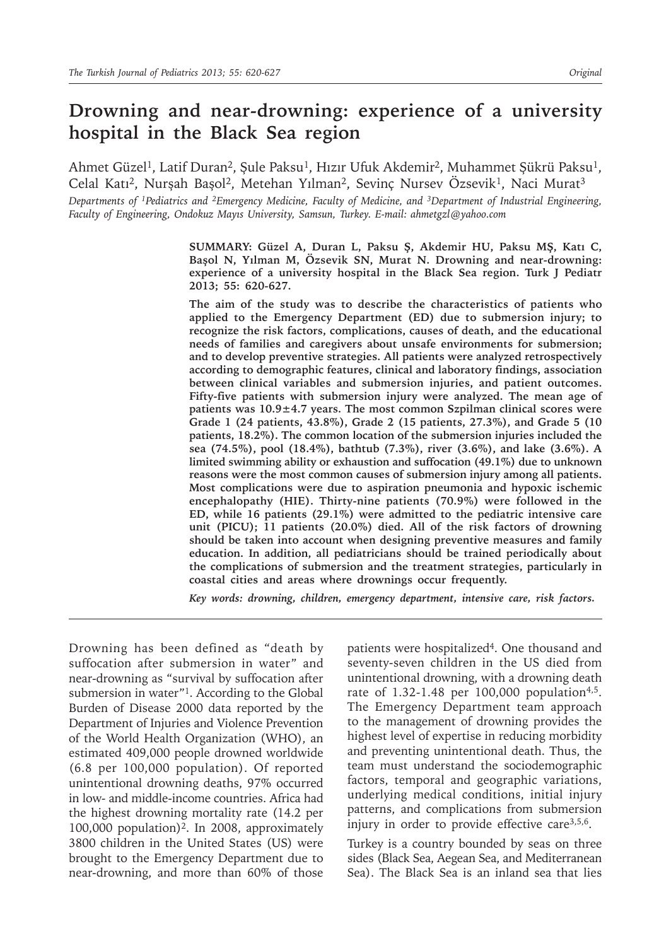# **Drowning and near-drowning: experience of a university hospital in the Black Sea region**

Ahmet Güzel<sup>1</sup>, Latif Duran<sup>2</sup>, Şule Paksu<sup>1</sup>, Hızır Ufuk Akdemir<sup>2</sup>, Muhammet Şükrü Paksu<sup>1</sup>, Celal Katı<sup>2</sup>, Nurşah Başol<sup>2</sup>, Metehan Yılman<sup>2</sup>, Sevinç Nursev Özsevik<sup>1</sup>, Naci Murat<sup>3</sup>

*Departments of 1Pediatrics and 2Emergency Medicine, Faculty of Medicine, and 3Department of Industrial Engineering, Faculty of Engineering, Ondokuz Mayıs University, Samsun, Turkey. E-mail: ahmetgzl@yahoo.com*

> **SUMMARY: Güzel A, Duran L, Paksu Ş, Akdemir HU, Paksu MŞ, Katı C, Başol N, Yılman M, Özsevik SN, Murat N. Drowning and near-drowning: experience of a university hospital in the Black Sea region. Turk J Pediatr 2013; 55: 620-627.**

> **The aim of the study was to describe the characteristics of patients who applied to the Emergency Department (ED) due to submersion injury; to recognize the risk factors, complications, causes of death, and the educational needs of families and caregivers about unsafe environments for submersion; and to develop preventive strategies. All patients were analyzed retrospectively according to demographic features, clinical and laboratory findings, association between clinical variables and submersion injuries, and patient outcomes. Fifty-five patients with submersion injury were analyzed. The mean age of patients was 10.9±4.7 years. The most common Szpilman clinical scores were Grade 1 (24 patients, 43.8%), Grade 2 (15 patients, 27.3%), and Grade 5 (10 patients, 18.2%). The common location of the submersion injuries included the sea (74.5%), pool (18.4%), bathtub (7.3%), river (3.6%), and lake (3.6%). A limited swimming ability or exhaustion and suffocation (49.1%) due to unknown reasons were the most common causes of submersion injury among all patients. Most complications were due to aspiration pneumonia and hypoxic ischemic encephalopathy (HIE). Thirty-nine patients (70.9%) were followed in the ED, while 16 patients (29.1%) were admitted to the pediatric intensive care unit (PICU); 11 patients (20.0%) died. All of the risk factors of drowning should be taken into account when designing preventive measures and family education. In addition, all pediatricians should be trained periodically about the complications of submersion and the treatment strategies, particularly in coastal cities and areas where drownings occur frequently.**

*Key words: drowning, children, emergency department, intensive care, risk factors.*

Drowning has been defined as "death by suffocation after submersion in water" and near-drowning as "survival by suffocation after submersion in water"<sup>1</sup>. According to the Global Burden of Disease 2000 data reported by the Department of Injuries and Violence Prevention of the World Health Organization (WHO), an estimated 409,000 people drowned worldwide (6.8 per 100,000 population). Of reported unintentional drowning deaths, 97% occurred in low- and middle-income countries. Africa had the highest drowning mortality rate (14.2 per 100,000 population)2. In 2008, approximately 3800 children in the United States (US) were brought to the Emergency Department due to near-drowning, and more than 60% of those

patients were hospitalized<sup>4</sup>. One thousand and seventy-seven children in the US died from unintentional drowning, with a drowning death rate of  $1.32 - 1.48$  per 100,000 population<sup>4,5</sup>. The Emergency Department team approach to the management of drowning provides the highest level of expertise in reducing morbidity and preventing unintentional death. Thus, the team must understand the sociodemographic factors, temporal and geographic variations, underlying medical conditions, initial injury patterns, and complications from submersion injury in order to provide effective care $3,5,6$ .

Turkey is a country bounded by seas on three sides (Black Sea, Aegean Sea, and Mediterranean Sea). The Black Sea is an inland sea that lies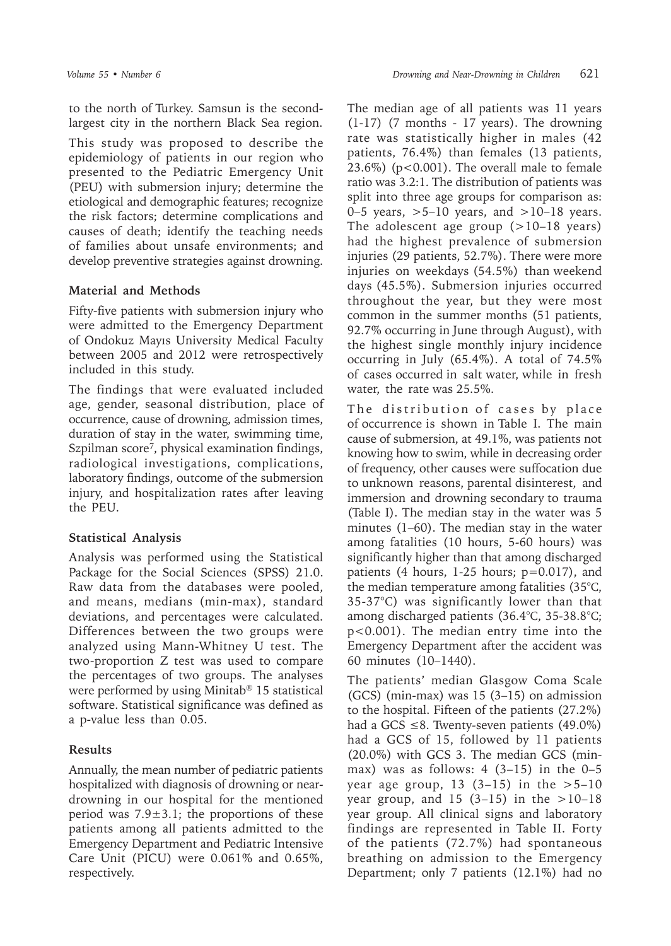to the north of Turkey. Samsun is the secondlargest city in the northern Black Sea region.

This study was proposed to describe the epidemiology of patients in our region who presented to the Pediatric Emergency Unit (PEU) with submersion injury; determine the etiological and demographic features; recognize the risk factors; determine complications and causes of death; identify the teaching needs of families about unsafe environments; and develop preventive strategies against drowning.

## **Material and Methods**

Fifty-five patients with submersion injury who were admitted to the Emergency Department of Ondokuz Mayıs University Medical Faculty between 2005 and 2012 were retrospectively included in this study.

The findings that were evaluated included age, gender, seasonal distribution, place of occurrence, cause of drowning, admission times, duration of stay in the water, swimming time, Szpilman score<sup>7</sup>, physical examination findings, radiological investigations, complications, laboratory findings, outcome of the submersion injury, and hospitalization rates after leaving the PEU.

# **Statistical Analysis**

Analysis was performed using the Statistical Package for the Social Sciences (SPSS) 21.0. Raw data from the databases were pooled, and means, medians (min-max), standard deviations, and percentages were calculated. Differences between the two groups were analyzed using Mann-Whitney U test. The two-proportion Z test was used to compare the percentages of two groups. The analyses were performed by using Minitab® 15 statistical software. Statistical significance was defined as a p-value less than 0.05.

# **Results**

Annually, the mean number of pediatric patients hospitalized with diagnosis of drowning or neardrowning in our hospital for the mentioned period was  $7.9 \pm 3.1$ ; the proportions of these patients among all patients admitted to the Emergency Department and Pediatric Intensive Care Unit (PICU) were 0.061% and 0.65%, respectively.

The median age of all patients was 11 years (1-17) (7 months - 17 years). The drowning rate was statistically higher in males (42 patients, 76.4%) than females (13 patients, 23.6%) (p<0.001). The overall male to female ratio was 3.2:1. The distribution of patients was split into three age groups for comparison as: 0–5 years,  $>5$ –10 years, and  $>10$ –18 years. The adolescent age group  $(>10-18 \text{ years})$ had the highest prevalence of submersion injuries (29 patients, 52.7%). There were more injuries on weekdays (54.5%) than weekend days (45.5%). Submersion injuries occurred throughout the year, but they were most common in the summer months (51 patients, 92.7% occurring in June through August), with the highest single monthly injury incidence occurring in July (65.4%). A total of 74.5% of cases occurred in salt water, while in fresh water, the rate was 25.5%.

The distribution of cases by place of occurrence is shown in Table I. The main cause of submersion, at 49.1%, was patients not knowing how to swim, while in decreasing order of frequency, other causes were suffocation due to unknown reasons, parental disinterest, and immersion and drowning secondary to trauma (Table I). The median stay in the water was 5 minutes (1–60). The median stay in the water among fatalities (10 hours, 5-60 hours) was significantly higher than that among discharged patients (4 hours, 1-25 hours; p=0.017), and the median temperature among fatalities (35°С, 35-37°С) was significantly lower than that among discharged patients (36.4°С, 35-38.8°С; p<0.001). The median entry time into the Emergency Department after the accident was 60 minutes (10–1440).

The patients' median Glasgow Coma Scale (GCS) (min-max) was  $15$  (3-15) on admission to the hospital. Fifteen of the patients (27.2%) had a GCS  $\leq$ 8. Twenty-seven patients (49.0%) had a GCS of 15, followed by 11 patients (20.0%) with GCS 3. The median GCS (minmax) was as follows:  $4(3-15)$  in the  $0-5$ year age group, 13  $(3-15)$  in the  $>5-10$ year group, and 15  $(3-15)$  in the  $>10-18$ year group. All clinical signs and laboratory findings are represented in Table II. Forty of the patients (72.7%) had spontaneous breathing on admission to the Emergency Department; only 7 patients (12.1%) had no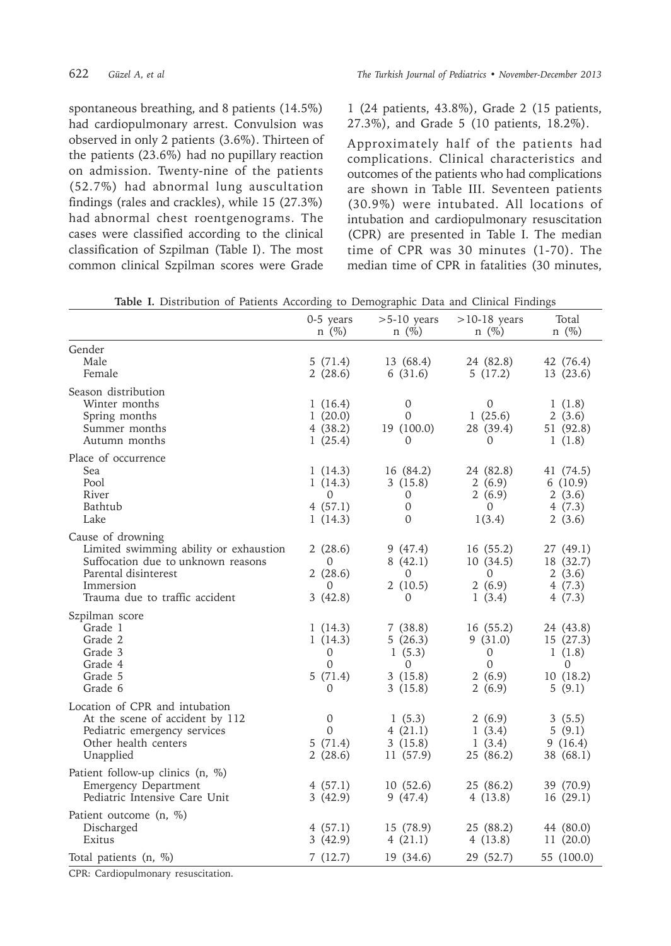spontaneous breathing, and 8 patients (14.5%) had cardiopulmonary arrest. Convulsion was observed in only 2 patients (3.6%). Thirteen of the patients (23.6%) had no pupillary reaction on admission. Twenty-nine of the patients (52.7%) had abnormal lung auscultation findings (rales and crackles), while 15 (27.3%) had abnormal chest roentgenograms. The cases were classified according to the clinical classification of Szpilman (Table I). The most common clinical Szpilman scores were Grade

1 (24 patients, 43.8%), Grade 2 (15 patients, 27.3%), and Grade 5 (10 patients, 18.2%).

Approximately half of the patients had complications. Clinical characteristics and outcomes of the patients who had complications are shown in Table III. Seventeen patients (30.9%) were intubated. All locations of intubation and cardiopulmonary resuscitation (CPR) are presented in Table I. The median time of CPR was 30 minutes (1-70). The median time of CPR in fatalities (30 minutes,

| Table I. Distribution of Patients According to Demographic Data and Clinical Findings |  |  |  |  |  |
|---------------------------------------------------------------------------------------|--|--|--|--|--|
|---------------------------------------------------------------------------------------|--|--|--|--|--|

|                                                                                                                                                                          | 0-5 years<br>$n \ (\%)$                             | $>5-10$ years<br>$n \ (\%)$                             | $>10-18$ years<br>$n \ (\%)$                                          | Total<br>$n \ (\%)$                                               |
|--------------------------------------------------------------------------------------------------------------------------------------------------------------------------|-----------------------------------------------------|---------------------------------------------------------|-----------------------------------------------------------------------|-------------------------------------------------------------------|
| Gender<br>Male<br>Female                                                                                                                                                 | 5(71.4)<br>2(28.6)                                  | 13 (68.4)<br>6(31.6)                                    | 24 (82.8)<br>5(17.2)                                                  | 42 (76.4)<br>13 (23.6)                                            |
| Season distribution<br>Winter months<br>Spring months<br>Summer months<br>Autumn months                                                                                  | 1(16.4)<br>1(20.0)<br>4(38.2)<br>1(25.4)            | 0<br>0<br>19 (100.0)<br>0                               | $\overline{0}$<br>1(25.6)<br>28 (39.4)<br>0                           | 1(1.8)<br>2(3.6)<br>51 (92.8)<br>1(1.8)                           |
| Place of occurrence<br>Sea<br>Pool<br>River<br>Bathtub<br>Lake                                                                                                           | 1(14.3)<br>1(14.3)<br>0<br>4(57.1)<br>1(14.3)       | 16 (84.2)<br>3(15.8)<br>0<br>$\boldsymbol{0}$<br>0      | 24 (82.8)<br>2(6.9)<br>2(6.9)<br>0<br>1(3.4)                          | 41 (74.5)<br>6(10.9)<br>2(3.6)<br>4(7.3)<br>2(3.6)                |
| Cause of drowning<br>Limited swimming ability or exhaustion<br>Suffocation due to unknown reasons<br>Parental disinterest<br>Immersion<br>Trauma due to traffic accident | 2(28.6)<br>0<br>2(28.6)<br>0<br>3(42.8)             | 9(47.4)<br>8(42.1)<br>0<br>2(10.5)<br>0                 | 16(55.2)<br>10(34.5)<br>$\Omega$<br>2(6.9)<br>1(3.4)                  | 27(49.1)<br>18 (32.7)<br>2(3.6)<br>4(7.3)<br>4(7.3)               |
| Szpilman score<br>Grade 1<br>Grade 2<br>Grade 3<br>Grade 4<br>Grade 5<br>Grade 6                                                                                         | 1(14.3)<br>1(14.3)<br>0<br>$\Omega$<br>5(71.4)<br>0 | 7(38.8)<br>5(26.3)<br>1(5.3)<br>0<br>3(15.8)<br>3(15.8) | 16(55.2)<br>9(31.0)<br>$\overline{0}$<br>$\Omega$<br>2(6.9)<br>2(6.9) | 24 (43.8)<br>15(27.3)<br>1(1.8)<br>$\theta$<br>10(18.2)<br>5(9.1) |
| Location of CPR and intubation<br>At the scene of accident by 112<br>Pediatric emergency services<br>Other health centers<br>Unapplied                                   | 0<br>$\Omega$<br>5(71.4)<br>2(28.6)                 | 1(5.3)<br>4(21.1)<br>3(15.8)<br>11 (57.9)               | 2(6.9)<br>1(3.4)<br>1(3.4)<br>25 (86.2)                               | 3(5.5)<br>5(9.1)<br>9(16.4)<br>38 (68.1)                          |
| Patient follow-up clinics (n, %)<br>Emergency Department<br>Pediatric Intensive Care Unit                                                                                | 4(57.1)<br>3(42.9)                                  | 10(52.6)<br>9(47.4)                                     | 25 (86.2)<br>4(13.8)                                                  | 39 (70.9)<br>16(29.1)                                             |
| Patient outcome (n, %)<br>Discharged<br>Exitus                                                                                                                           | 4(57.1)<br>3(42.9)                                  | 15 (78.9)<br>4(21.1)                                    | 25 (88.2)<br>4(13.8)                                                  | 44 (80.0)<br>11(20.0)                                             |
| Total patients (n, %)                                                                                                                                                    | 7(12.7)                                             | 19 (34.6)                                               | 29 (52.7)                                                             | 55 (100.0)                                                        |

CPR: Cardiopulmonary resuscitation.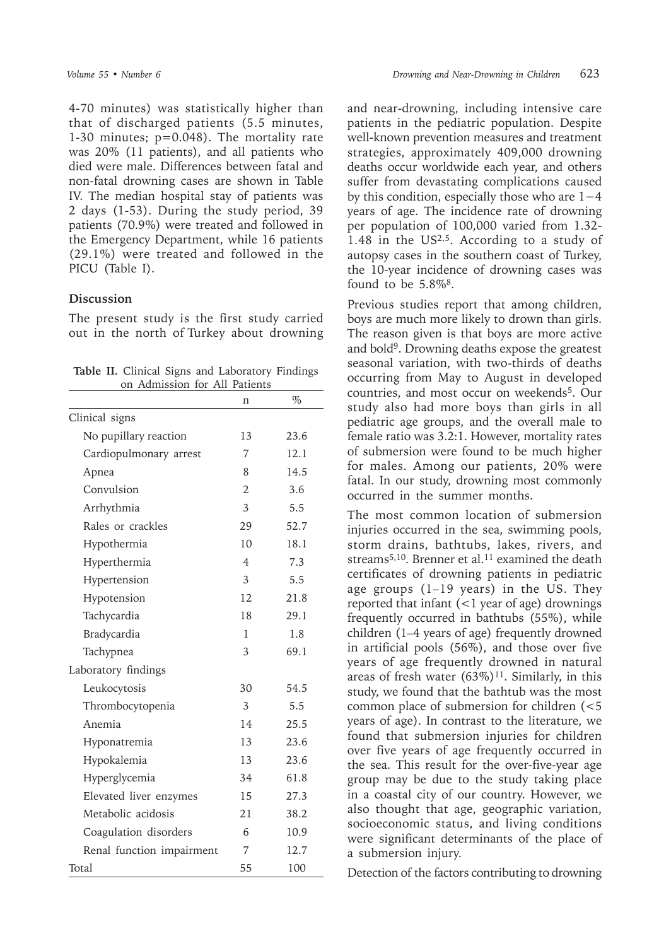4-70 minutes) was statistically higher than that of discharged patients (5.5 minutes, 1-30 minutes; p=0.048). The mortality rate was 20% (11 patients), and all patients who died were male. Differences between fatal and non-fatal drowning cases are shown in Table IV. The median hospital stay of patients was 2 days (1-53). During the study period, 39 patients (70.9%) were treated and followed in the Emergency Department, while 16 patients (29.1%) were treated and followed in the PICU (Table I).

#### **Discussion**

The present study is the first study carried out in the north of Turkey about drowning

**Table II.** Clinical Signs and Laboratory Findings on Admission for All Patients

| Tratification<br>TOT<br>$\overline{111}$ | raticino       |      |  |  |  |
|------------------------------------------|----------------|------|--|--|--|
|                                          | n              | $\%$ |  |  |  |
| Clinical signs                           |                |      |  |  |  |
| No pupillary reaction                    | 13             | 23.6 |  |  |  |
| Cardiopulmonary arrest                   | 7              | 12.1 |  |  |  |
| Apnea                                    | 8              | 14.5 |  |  |  |
| Convulsion                               | $\overline{2}$ | 3.6  |  |  |  |
| Arrhythmia                               | 3              | 5.5  |  |  |  |
| Rales or crackles                        | 29             | 52.7 |  |  |  |
| Hypothermia                              | 10             | 18.1 |  |  |  |
| Hyperthermia                             | $\overline{4}$ | 7.3  |  |  |  |
| Hypertension                             | 3              | 5.5  |  |  |  |
| Hypotension                              | 12             | 21.8 |  |  |  |
| Tachycardia                              | 18             | 29.1 |  |  |  |
| Bradycardia                              | 1              | 1.8  |  |  |  |
| Tachypnea                                | 3              | 69.1 |  |  |  |
| Laboratory findings                      |                |      |  |  |  |
| Leukocytosis                             | 30             | 54.5 |  |  |  |
| Thrombocytopenia                         | 3              | 5.5  |  |  |  |
| Anemia                                   | 14             | 25.5 |  |  |  |
| Hyponatremia                             | 13             | 23.6 |  |  |  |
| Hypokalemia                              | 13             | 23.6 |  |  |  |
| Hyperglycemia                            | 34             | 61.8 |  |  |  |
| Elevated liver enzymes                   | 15             | 27.3 |  |  |  |
| Metabolic acidosis                       | 21             | 38.2 |  |  |  |
| Coagulation disorders                    | 6              | 10.9 |  |  |  |
| Renal function impairment                | 7              | 12.7 |  |  |  |
| Total                                    | 55             | 100  |  |  |  |

and near-drowning, including intensive care patients in the pediatric population. Despite well-known prevention measures and treatment strategies, approximately 409,000 drowning deaths occur worldwide each year, and others suffer from devastating complications caused by this condition, especially those who are 1−4 years of age. The incidence rate of drowning per population of 100,000 varied from 1.32- 1.48 in the US<sup>2,5</sup>. According to a study of autopsy cases in the southern coast of Turkey, the 10-year incidence of drowning cases was found to be  $5.8\%$ <sup>8</sup>.

Previous studies report that among children, boys are much more likely to drown than girls. The reason given is that boys are more active and bold<sup>9</sup>. Drowning deaths expose the greatest seasonal variation, with two-thirds of deaths occurring from May to August in developed countries, and most occur on weekends<sup>5</sup>. Our study also had more boys than girls in all pediatric age groups, and the overall male to female ratio was 3.2:1. However, mortality rates of submersion were found to be much higher for males. Among our patients, 20% were fatal. In our study, drowning most commonly occurred in the summer months.

The most common location of submersion injuries occurred in the sea, swimming pools, storm drains, bathtubs, lakes, rivers, and streams<sup>5,10</sup>. Brenner et al.<sup>11</sup> examined the death certificates of drowning patients in pediatric age groups  $(1-19$  years) in the US. They reported that infant  $(<1$  year of age) drownings frequently occurred in bathtubs (55%), while children (1–4 years of age) frequently drowned in artificial pools (56%), and those over five years of age frequently drowned in natural areas of fresh water  $(63\%)$ <sup>11</sup>. Similarly, in this study, we found that the bathtub was the most common place of submersion for children (<5 years of age). In contrast to the literature, we found that submersion injuries for children over five years of age frequently occurred in the sea. This result for the over-five-year age group may be due to the study taking place in a coastal city of our country. However, we also thought that age, geographic variation, socioeconomic status, and living conditions were significant determinants of the place of a submersion injury.

Detection of the factors contributing to drowning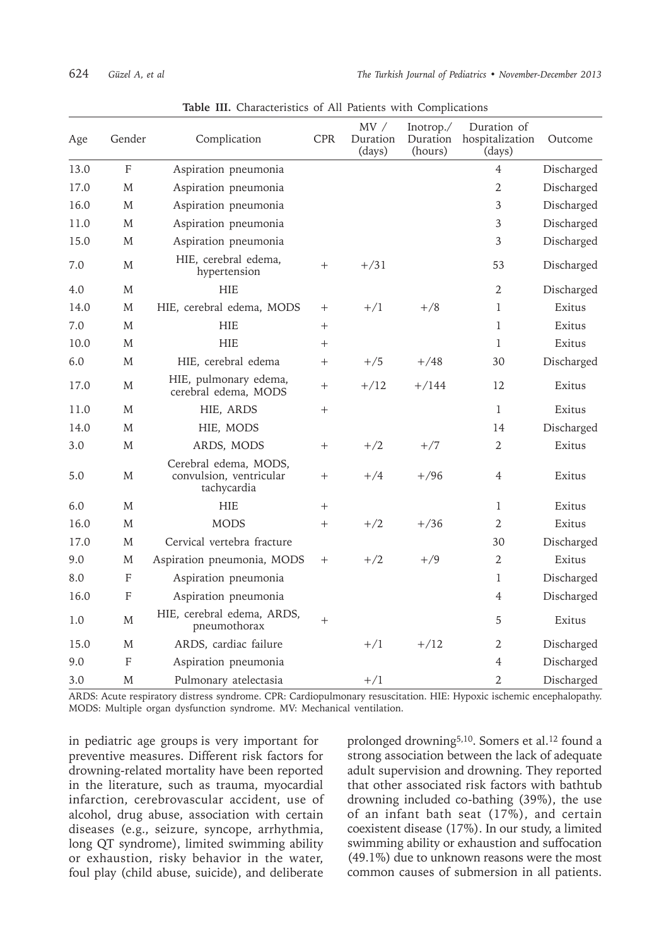| Age  | Gender                    | Complication                                                    | <b>CPR</b>         | MV /<br>Duration<br>(days) | Inotrop./<br>Duration<br>(hours) | Duration of<br>hospitalization<br>(days) | Outcome    |
|------|---------------------------|-----------------------------------------------------------------|--------------------|----------------------------|----------------------------------|------------------------------------------|------------|
| 13.0 | F                         | Aspiration pneumonia                                            |                    |                            |                                  | 4                                        | Discharged |
| 17.0 | M                         | Aspiration pneumonia                                            |                    |                            |                                  | $\overline{2}$                           | Discharged |
| 16.0 | M                         | Aspiration pneumonia                                            |                    |                            |                                  | 3                                        | Discharged |
| 11.0 | M                         | Aspiration pneumonia                                            |                    |                            |                                  | 3                                        | Discharged |
| 15.0 | M                         | Aspiration pneumonia                                            |                    |                            |                                  | 3                                        | Discharged |
| 7.0  | M                         | HIE, cerebral edema,<br>hypertension                            | $^{+}$             | $+/31$                     |                                  | 53                                       | Discharged |
| 4.0  | M                         | <b>HIE</b>                                                      |                    |                            |                                  | $\overline{2}$                           | Discharged |
| 14.0 | M                         | HIE, cerebral edema, MODS                                       | $^{+}$             | $+/1$                      | $+/8$                            | 1                                        | Exitus     |
| 7.0  | M                         | <b>HIE</b>                                                      | $\hspace{0.1mm} +$ |                            |                                  | 1                                        | Exitus     |
| 10.0 | M                         | <b>HIE</b>                                                      | $^{+}$             |                            |                                  | 1                                        | Exitus     |
| 6.0  | M                         | HIE, cerebral edema                                             | $^{+}$             | $+/5$                      | $+/48$                           | 30                                       | Discharged |
| 17.0 | M                         | HIE, pulmonary edema,<br>cerebral edema, MODS                   | $^{+}$             | $+/12$                     | $+/144$                          | 12                                       | Exitus     |
| 11.0 | M                         | HIE, ARDS                                                       | $^{+}$             |                            |                                  | 1                                        | Exitus     |
| 14.0 | M                         | HIE, MODS                                                       |                    |                            |                                  | 14                                       | Discharged |
| 3.0  | M                         | ARDS, MODS                                                      | $+$                | $+/2$                      | $+/7$                            | 2                                        | Exitus     |
| 5.0  | M                         | Cerebral edema, MODS,<br>convulsion, ventricular<br>tachycardia | $\hspace{0.1mm} +$ | $+/4$                      | $+/96$                           | 4                                        | Exitus     |
| 6.0  | M                         | <b>HIE</b>                                                      | $+$                |                            |                                  | 1                                        | Exitus     |
| 16.0 | M                         | <b>MODS</b>                                                     | $+$                | $+/2$                      | $+/36$                           | $\mathfrak{2}$                           | Exitus     |
| 17.0 | M                         | Cervical vertebra fracture                                      |                    |                            |                                  | 30                                       | Discharged |
| 9.0  | M                         | Aspiration pneumonia, MODS                                      | $^{+}$             | $+/2$                      | $+/9$                            | 2                                        | Exitus     |
| 8.0  | $\boldsymbol{\mathrm{F}}$ | Aspiration pneumonia                                            |                    |                            |                                  | 1                                        | Discharged |
| 16.0 | F                         | Aspiration pneumonia                                            |                    |                            |                                  | 4                                        | Discharged |
| 1.0  | $\mathbf M$               | HIE, cerebral edema, ARDS,<br>pneumothorax                      | $+$                |                            |                                  | 5                                        | Exitus     |
| 15.0 | M                         | ARDS, cardiac failure                                           |                    | $+/1$                      | $+/12$                           | 2                                        | Discharged |
| 9.0  | F                         | Aspiration pneumonia                                            |                    |                            |                                  | 4                                        | Discharged |
| 3.0  | M                         | Pulmonary atelectasia                                           |                    | $+/1$                      |                                  | $\overline{2}$                           | Discharged |

**Table III.** Characteristics of All Patients with Complications

ARDS: Acute respiratory distress syndrome. CPR: Cardiopulmonary resuscitation. HIE: Hypoxic ischemic encephalopathy. MODS: Multiple organ dysfunction syndrome. MV: Mechanical ventilation.

in pediatric age groups is very important for preventive measures. Different risk factors for drowning-related mortality have been reported in the literature, such as trauma, myocardial infarction, cerebrovascular accident, use of alcohol, drug abuse, association with certain diseases (e.g., seizure, syncope, arrhythmia, long QT syndrome), limited swimming ability or exhaustion, risky behavior in the water, foul play (child abuse, suicide), and deliberate

prolonged drowning<sup>5,10</sup>. Somers et al.<sup>12</sup> found a strong association between the lack of adequate adult supervision and drowning. They reported that other associated risk factors with bathtub drowning included co-bathing (39%), the use of an infant bath seat (17%), and certain coexistent disease (17%). In our study, a limited swimming ability or exhaustion and suffocation (49.1%) due to unknown reasons were the most common causes of submersion in all patients.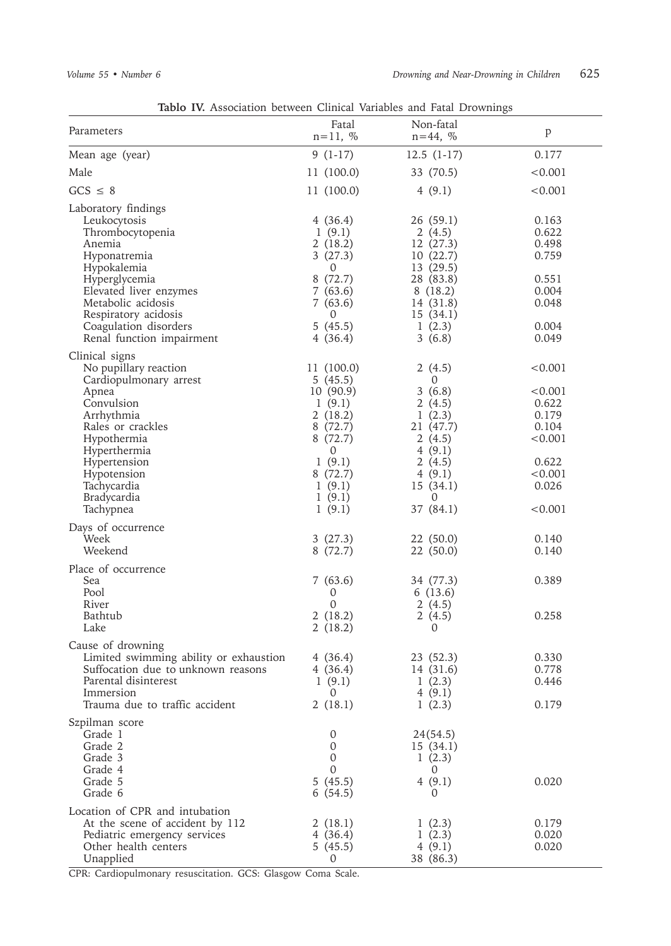|                                                                                                                                                                                                                                                                   | Tablo IV. Association between Clinical Variables and Fatal Drownings                                                                                    |                                                                                                                                        |                                                                                                           |  |  |  |  |
|-------------------------------------------------------------------------------------------------------------------------------------------------------------------------------------------------------------------------------------------------------------------|---------------------------------------------------------------------------------------------------------------------------------------------------------|----------------------------------------------------------------------------------------------------------------------------------------|-----------------------------------------------------------------------------------------------------------|--|--|--|--|
| Parameters                                                                                                                                                                                                                                                        | Fatal<br>$n = 11, %$                                                                                                                                    | Non-fatal<br>$n = 44, %$                                                                                                               | $\mathbf{p}$                                                                                              |  |  |  |  |
| Mean age (year)                                                                                                                                                                                                                                                   | $9(1-17)$                                                                                                                                               | $12.5(1-17)$                                                                                                                           | 0.177                                                                                                     |  |  |  |  |
| Male                                                                                                                                                                                                                                                              | 11 (100.0)                                                                                                                                              | 33 (70.5)                                                                                                                              | < 0.001                                                                                                   |  |  |  |  |
| $GCS \leq 8$                                                                                                                                                                                                                                                      | 11 (100.0)                                                                                                                                              | 4(9.1)                                                                                                                                 | < 0.001                                                                                                   |  |  |  |  |
| Laboratory findings<br>Leukocytosis<br>Thrombocytopenia<br>Anemia<br>Hyponatremia<br>Hypokalemia<br>Hyperglycemia<br>Elevated liver enzymes<br>Metabolic acidosis<br>Respiratory acidosis                                                                         | 4(36.4)<br>1(9.1)<br>2(18.2)<br>3(27.3)<br>0<br>8(72.7)<br>7(63.6)<br>7(63.6)<br>$\Omega$                                                               | 26(59.1)<br>2(4.5)<br>12 (27.3)<br>10(22.7)<br>13(29.5)<br>28 (83.8)<br>8(18.2)<br>14 (31.8)<br>15(34.1)                               | 0.163<br>0.622<br>0.498<br>0.759<br>0.551<br>0.004<br>0.048                                               |  |  |  |  |
| Coagulation disorders                                                                                                                                                                                                                                             | 5(45.5)                                                                                                                                                 | 1(2.3)                                                                                                                                 | 0.004                                                                                                     |  |  |  |  |
| Renal function impairment<br>Clinical signs<br>No pupillary reaction<br>Cardiopulmonary arrest<br>Apnea<br>Convulsion<br>Arrhythmia<br>Rales or crackles<br>Hypothermia<br>Hyperthermia<br>Hypertension<br>Hypotension<br>Tachycardia<br>Bradycardia<br>Tachypnea | 4(36.4)<br>11 (100.0)<br>5(45.5)<br>10(90.9)<br>1(9.1)<br>2(18.2)<br>8(72.7)<br>8(72.7)<br>$\Omega$<br>1(9.1)<br>8 (72.7)<br>1(9.1)<br>1(9.1)<br>1(9.1) | 3(6.8)<br>2(4.5)<br>0<br>3(6.8)<br>2(4.5)<br>1(2.3)<br>21 (47.7)<br>2(4.5)<br>4(9.1)<br>2(4.5)<br>4(9.1)<br>15(34.1)<br>0<br>37 (84.1) | 0.049<br>< 0.001<br>< 0.001<br>0.622<br>0.179<br>0.104<br>< 0.001<br>0.622<br>< 0.001<br>0.026<br>< 0.001 |  |  |  |  |
| Days of occurrence<br>Week<br>Weekend                                                                                                                                                                                                                             | 3(27.3)<br>8(72.7)                                                                                                                                      | 22 (50.0)<br>22 (50.0)                                                                                                                 | 0.140<br>0.140                                                                                            |  |  |  |  |
| Place of occurrence<br>Sea<br>Pool<br>River<br>Bathtub<br>Lake                                                                                                                                                                                                    | 7(63.6)<br>0<br>$\Omega$<br>2(18.2)<br>2(18.2)                                                                                                          | 34 (77.3)<br>6(13.6)<br>2(4.5)<br>2(4.5)<br>0                                                                                          | 0.389<br>0.258                                                                                            |  |  |  |  |
| Cause of drowning<br>Limited swimming ability or exhaustion<br>Suffocation due to unknown reasons<br>Parental disinterest<br>Immersion<br>Trauma due to traffic accident                                                                                          | 4 (36.4)<br>4(36.4)<br>1(9.1)<br>0<br>2(18.1)                                                                                                           | 23 (52.3)<br>14 (31.6)<br>1(2.3)<br>4(9.1)<br>1(2.3)                                                                                   | 0.330<br>0.778<br>0.446<br>0.179                                                                          |  |  |  |  |
| Szpilman score<br>Grade 1<br>Grade 2<br>Grade 3<br>Grade 4<br>Grade 5<br>Grade 6                                                                                                                                                                                  | 0<br>0<br>0<br>0<br>5(45.5)<br>6(54.5)                                                                                                                  | 24(54.5)<br>15 (34.1)<br>1(2.3)<br>0<br>4(9.1)<br>0                                                                                    | 0.020                                                                                                     |  |  |  |  |
| Location of CPR and intubation<br>At the scene of accident by 112<br>Pediatric emergency services<br>Other health centers<br>Unapplied                                                                                                                            | 2(18.1)<br>4 (36.4)<br>5(45.5)<br>0                                                                                                                     | 1(2.3)<br>1(2.3)<br>4(9.1)<br>38 (86.3)                                                                                                | 0.179<br>0.020<br>0.020                                                                                   |  |  |  |  |

CPR: Cardiopulmonary resuscitation. GCS: Glasgow Coma Scale.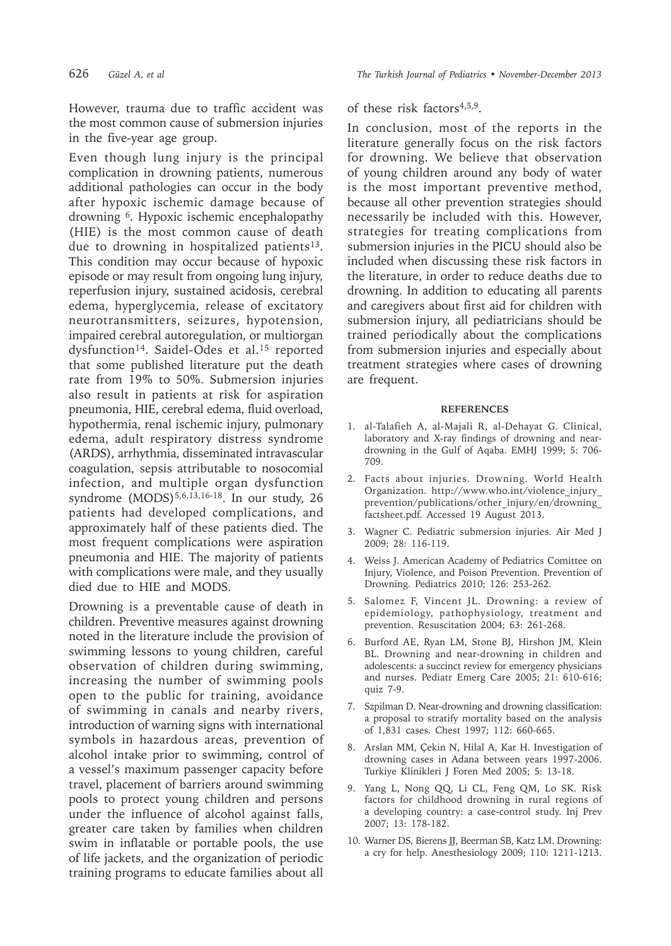However, trauma due to traffic accident was the most common cause of submersion injuries in the five-year age group.

Even though lung injury is the principal complication in drowning patients, numerous additional pathologies can occur in the body after hypoxic ischemic damage because of drowning 6. Hypoxic ischemic encephalopathy (HIE) is the most common cause of death due to drowning in hospitalized patients<sup>13</sup>. This condition may occur because of hypoxic episode or may result from ongoing lung injury, reperfusion injury, sustained acidosis, cerebral edema, hyperglycemia, release of excitatory neurotransmitters, seizures, hypotension, impaired cerebral autoregulation, or multiorgan dysfunction<sup>14</sup>. Saidel-Odes et al.<sup>15</sup> reported that some published literature put the death rate from 19% to 50%. Submersion injuries also result in patients at risk for aspiration pneumonia, HIE, cerebral edema, fluid overload, hypothermia, renal ischemic injury, pulmonary edema, adult respiratory distress syndrome (ARDS), arrhythmia, disseminated intravascular coagulation, sepsis attributable to nosocomial infection, and multiple organ dysfunction syndrome (MODS)<sup>5,6,13,16-18</sup>. In our study, 26 patients had developed complications, and approximately half of these patients died. The most frequent complications were aspiration pneumonia and HIE. The majority of patients with complications were male, and they usually died due to HIE and MODS.

Drowning is a preventable cause of death in children. Preventive measures against drowning noted in the literature include the provision of swimming lessons to young children, careful observation of children during swimming, increasing the number of swimming pools open to the public for training, avoidance of swimming in canals and nearby rivers, introduction of warning signs with international symbols in hazardous areas, prevention of alcohol intake prior to swimming, control of a vessel's maximum passenger capacity before travel, placement of barriers around swimming pools to protect young children and persons under the influence of alcohol against falls, greater care taken by families when children swim in inflatable or portable pools, the use of life jackets, and the organization of periodic training programs to educate families about all

### of these risk factors4,5,9.

In conclusion, most of the reports in the literature generally focus on the risk factors for drowning. We believe that observation of young children around any body of water is the most important preventive method, because all other prevention strategies should necessarily be included with this. However, strategies for treating complications from submersion injuries in the PICU should also be included when discussing these risk factors in the literature, in order to reduce deaths due to drowning. In addition to educating all parents and caregivers about first aid for children with submersion injury, all pediatricians should be trained periodically about the complications from submersion injuries and especially about treatment strategies where cases of drowning are frequent.

#### **REFERENCES**

- 1. al-Talafieh A, al-Majali R, al-Dehayat G. Clinical, laboratory and X-ray findings of drowning and neardrowning in the Gulf of Aqaba. EMHJ 1999; 5: 706- 709.
- 2. Facts about injuries. Drowning. World Health Organization. http://www.who.int/violence\_injury\_ prevention/publications/other\_injury/en/drowning\_ factsheet.pdf. Accessed 19 August 2013.
- 3. Wagner C. Pediatric submersion injuries. Air Med J 2009; 28: 116-119.
- 4. Weiss J. American Academy of Pediatrics Comittee on Injury, Violence, and Poison Prevention. Prevention of Drowning. Pediatrics 2010; 126: 253-262.
- 5. Salomez F, Vincent JL. Drowning: a review of epidemiology, pathophysiology, treatment and prevention. Resuscitation 2004; 63: 261-268.
- 6. Burford AE, Ryan LM, Stone BJ, Hirshon JM, Klein BL. Drowning and near-drowning in children and adolescents: a succinct review for emergency physicians and nurses. Pediatr Emerg Care 2005; 21: 610-616; quiz 7-9.
- 7. Szpilman D. Near-drowning and drowning classification: a proposal to stratify mortality based on the analysis of 1,831 cases. Chest 1997; 112: 660-665.
- 8. Arslan MM, Çekin N, Hilal A, Kar H. Investigation of drowning cases in Adana between years 1997-2006. Turkiye Klinikleri J Foren Med 2005; 5: 13-18.
- 9. Yang L, Nong QQ, Li CL, Feng QM, Lo SK. Risk factors for childhood drowning in rural regions of a developing country: a case-control study. Inj Prev 2007; 13: 178-182.
- 10. Warner DS, Bierens JJ, Beerman SB, Katz LM. Drowning: a cry for help. Anesthesiology 2009; 110: 1211-1213.